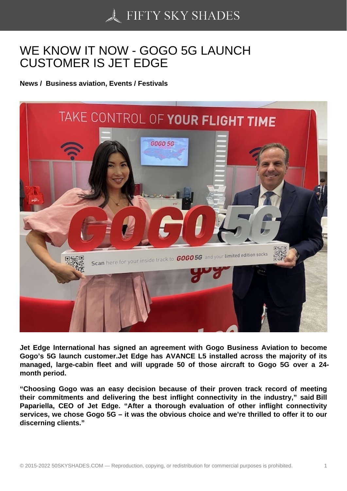## [WE KNOW IT NOW - G](https://50skyshades.com)OGO 5G LAUNCH CUSTOMER IS JET EDGE

News / Business aviation, Events / Festivals

Jet Edge International has signed an agreement with Gogo Business Aviation to become Gogo's 5G launch customer.Jet Edge has AVANCE L5 installed across the majority of its managed, large-cabin fleet and will upgrade 50 of those aircraft to Gogo 5G over a 24 month period.

"Choosing Gogo was an easy decision because of their proven track record of meeting their commitments and delivering the best inflight connectivity in the industry," said Bill Papariella, CEO of Jet Edge. "After a thorough evaluation of other inflight connectivity services, we chose Gogo 5G – it was the obvious choice and we're thrilled to offer it to our discerning clients."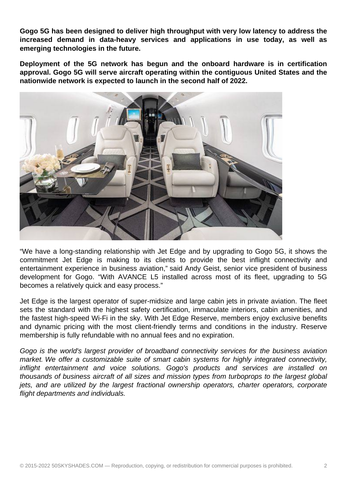**Gogo 5G has been designed to deliver high throughput with very low latency to address the increased demand in data-heavy services and applications in use today, as well as emerging technologies in the future.** 

**Deployment of the 5G network has begun and the onboard hardware is in certification approval. Gogo 5G will serve aircraft operating within the contiguous United States and the nationwide network is expected to launch in the second half of 2022.** 



"We have a long-standing relationship with Jet Edge and by upgrading to Gogo 5G, it shows the commitment Jet Edge is making to its clients to provide the best inflight connectivity and entertainment experience in business aviation," said Andy Geist, senior vice president of business development for Gogo. "With AVANCE L5 installed across most of its fleet, upgrading to 5G becomes a relatively quick and easy process."

Jet Edge is the largest operator of super-midsize and large cabin jets in private aviation. The fleet sets the standard with the highest safety certification, immaculate interiors, cabin amenities, and the fastest high-speed Wi-Fi in the sky. With Jet Edge Reserve, members enjoy exclusive benefits and dynamic pricing with the most client-friendly terms and conditions in the industry. Reserve membership is fully refundable with no annual fees and no expiration.

Gogo is the world's largest provider of broadband connectivity services for the business aviation market. We offer a customizable suite of smart cabin systems for highly integrated connectivity, inflight entertainment and voice solutions. Gogo's products and services are installed on thousands of business aircraft of all sizes and mission types from turboprops to the largest global jets, and are utilized by the largest fractional ownership operators, charter operators, corporate flight departments and individuals.